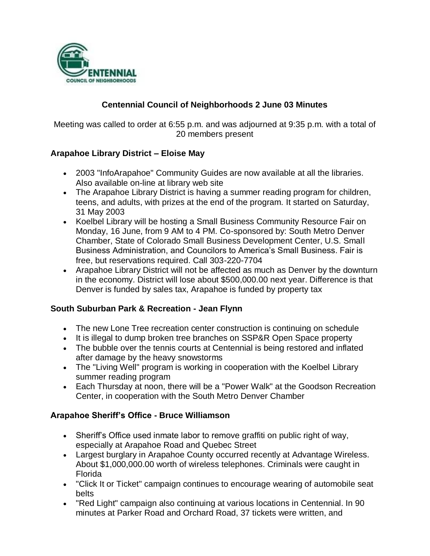

# **Centennial Council of Neighborhoods 2 June 03 Minutes**

Meeting was called to order at 6:55 p.m. and was adjourned at 9:35 p.m. with a total of 20 members present

## **Arapahoe Library District – Eloise May**

- 2003 "InfoArapahoe" Community Guides are now available at all the libraries. Also available on-line at library web site
- The Arapahoe Library District is having a summer reading program for children, teens, and adults, with prizes at the end of the program. It started on Saturday, 31 May 2003
- Koelbel Library will be hosting a Small Business Community Resource Fair on Monday, 16 June, from 9 AM to 4 PM. Co-sponsored by: South Metro Denver Chamber, State of Colorado Small Business Development Center, U.S. Small Business Administration, and Councilors to America's Small Business. Fair is free, but reservations required. Call 303-220-7704
- Arapahoe Library District will not be affected as much as Denver by the downturn in the economy. District will lose about \$500,000.00 next year. Difference is that Denver is funded by sales tax, Arapahoe is funded by property tax

### **South Suburban Park & Recreation - Jean Flynn**

- The new Lone Tree recreation center construction is continuing on schedule
- It is illegal to dump broken tree branches on SSP&R Open Space property
- The bubble over the tennis courts at Centennial is being restored and inflated after damage by the heavy snowstorms
- The "Living Well" program is working in cooperation with the Koelbel Library summer reading program
- Each Thursday at noon, there will be a "Power Walk" at the Goodson Recreation Center, in cooperation with the South Metro Denver Chamber

### **Arapahoe Sheriff's Office - Bruce Williamson**

- Sheriff's Office used inmate labor to remove graffiti on public right of way, especially at Arapahoe Road and Quebec Street
- Largest burglary in Arapahoe County occurred recently at Advantage Wireless. About \$1,000,000.00 worth of wireless telephones. Criminals were caught in Florida
- "Click It or Ticket" campaign continues to encourage wearing of automobile seat belts
- "Red Light" campaign also continuing at various locations in Centennial. In 90 minutes at Parker Road and Orchard Road, 37 tickets were written, and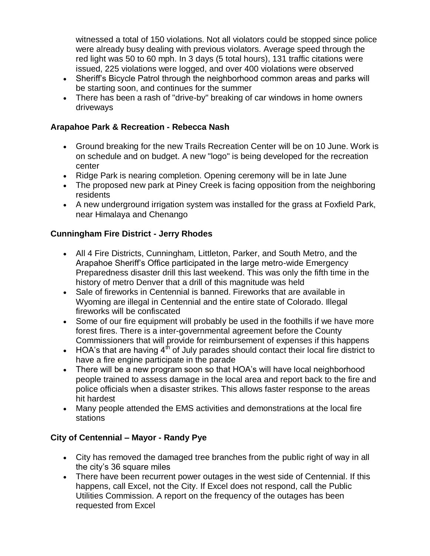witnessed a total of 150 violations. Not all violators could be stopped since police were already busy dealing with previous violators. Average speed through the red light was 50 to 60 mph. In 3 days (5 total hours), 131 traffic citations were issued, 225 violations were logged, and over 400 violations were observed

- Sheriff's Bicycle Patrol through the neighborhood common areas and parks will be starting soon, and continues for the summer
- There has been a rash of "drive-by" breaking of car windows in home owners driveways

## **Arapahoe Park & Recreation - Rebecca Nash**

- Ground breaking for the new Trails Recreation Center will be on 10 June. Work is on schedule and on budget. A new "logo" is being developed for the recreation center
- Ridge Park is nearing completion. Opening ceremony will be in late June
- The proposed new park at Piney Creek is facing opposition from the neighboring residents
- A new underground irrigation system was installed for the grass at Foxfield Park, near Himalaya and Chenango

# **Cunningham Fire District - Jerry Rhodes**

- All 4 Fire Districts, Cunningham, Littleton, Parker, and South Metro, and the Arapahoe Sheriff's Office participated in the large metro-wide Emergency Preparedness disaster drill this last weekend. This was only the fifth time in the history of metro Denver that a drill of this magnitude was held
- Sale of fireworks in Centennial is banned. Fireworks that are available in Wyoming are illegal in Centennial and the entire state of Colorado. Illegal fireworks will be confiscated
- Some of our fire equipment will probably be used in the foothills if we have more forest fires. There is a inter-governmental agreement before the County Commissioners that will provide for reimbursement of expenses if this happens
- $\bullet$  HOA's that are having 4<sup>th</sup> of July parades should contact their local fire district to have a fire engine participate in the parade
- There will be a new program soon so that HOA's will have local neighborhood people trained to assess damage in the local area and report back to the fire and police officials when a disaster strikes. This allows faster response to the areas hit hardest
- Many people attended the EMS activities and demonstrations at the local fire stations

# **City of Centennial – Mayor - Randy Pye**

- City has removed the damaged tree branches from the public right of way in all the city's 36 square miles
- There have been recurrent power outages in the west side of Centennial. If this happens, call Excel, not the City. If Excel does not respond, call the Public Utilities Commission. A report on the frequency of the outages has been requested from Excel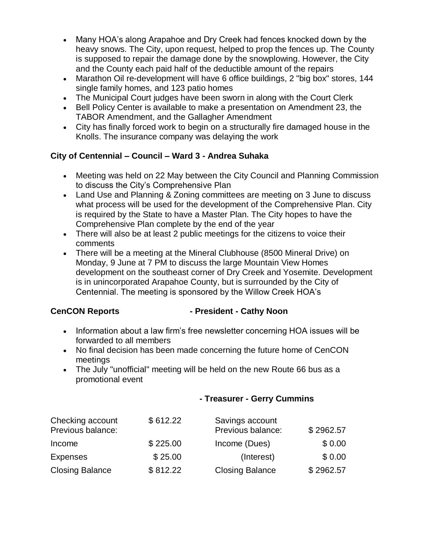- Many HOA's along Arapahoe and Dry Creek had fences knocked down by the heavy snows. The City, upon request, helped to prop the fences up. The County is supposed to repair the damage done by the snowplowing. However, the City and the County each paid half of the deductible amount of the repairs
- Marathon Oil re-development will have 6 office buildings, 2 "big box" stores, 144 single family homes, and 123 patio homes
- The Municipal Court judges have been sworn in along with the Court Clerk
- Bell Policy Center is available to make a presentation on Amendment 23, the TABOR Amendment, and the Gallagher Amendment
- City has finally forced work to begin on a structurally fire damaged house in the Knolls. The insurance company was delaying the work

# **City of Centennial – Council – Ward 3 - Andrea Suhaka**

- Meeting was held on 22 May between the City Council and Planning Commission to discuss the City's Comprehensive Plan
- Land Use and Planning & Zoning committees are meeting on 3 June to discuss what process will be used for the development of the Comprehensive Plan. City is required by the State to have a Master Plan. The City hopes to have the Comprehensive Plan complete by the end of the year
- There will also be at least 2 public meetings for the citizens to voice their comments
- There will be a meeting at the Mineral Clubhouse (8500 Mineral Drive) on Monday, 9 June at 7 PM to discuss the large Mountain View Homes development on the southeast corner of Dry Creek and Yosemite. Development is in unincorporated Arapahoe County, but is surrounded by the City of Centennial. The meeting is sponsored by the Willow Creek HOA's

### **CenCON Reports - President - Cathy Noon**

- Information about a law firm's free newsletter concerning HOA issues will be forwarded to all members
- No final decision has been made concerning the future home of CenCON meetings
- The July "unofficial" meeting will be held on the new Route 66 bus as a promotional event

### **- Treasurer - Gerry Cummins**

| Checking account<br>Previous balance: | \$612.22 | Savings account<br>Previous balance: | \$2962.57 |
|---------------------------------------|----------|--------------------------------------|-----------|
| Income                                | \$225.00 | Income (Dues)                        | \$0.00    |
| <b>Expenses</b>                       | \$25.00  | (Interest)                           | \$0.00    |
| <b>Closing Balance</b>                | \$812.22 | <b>Closing Balance</b>               | \$2962.57 |